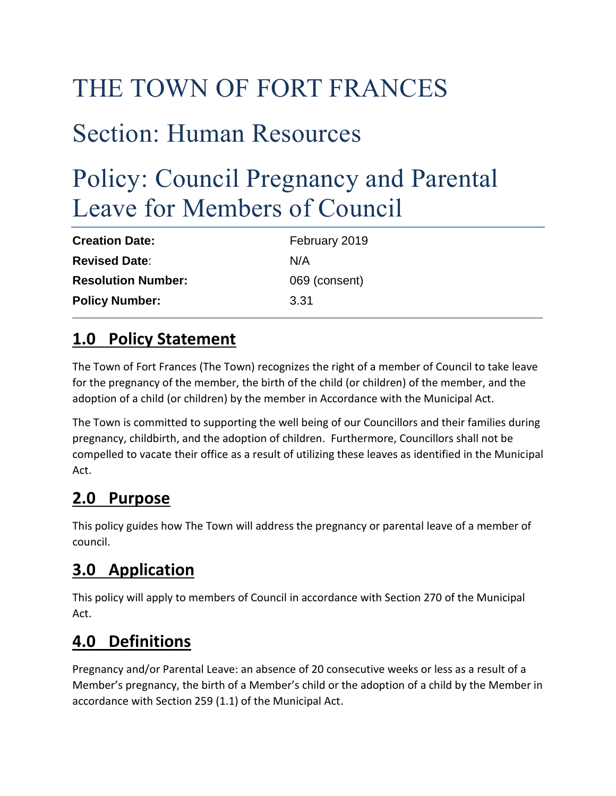# THE TOWN OF FORT FRANCES

## Section: Human Resources

## Policy: Council Pregnancy and Parental Leave for Members of Council

| <b>Creation Date:</b>     | February 2019 |
|---------------------------|---------------|
| <b>Revised Date:</b>      | N/A           |
| <b>Resolution Number:</b> | 069 (consent) |
| <b>Policy Number:</b>     | 3.31          |

## **1.0 Policy Statement**

The Town of Fort Frances (The Town) recognizes the right of a member of Council to take leave for the pregnancy of the member, the birth of the child (or children) of the member, and the adoption of a child (or children) by the member in Accordance with the Municipal Act.

The Town is committed to supporting the well being of our Councillors and their families during pregnancy, childbirth, and the adoption of children. Furthermore, Councillors shall not be compelled to vacate their office as a result of utilizing these leaves as identified in the Municipal Act.

## **2.0 Purpose**

This policy guides how The Town will address the pregnancy or parental leave of a member of council.

## **3.0 Application**

This policy will apply to members of Council in accordance with Section 270 of the Municipal Act.

## **4.0 Definitions**

Pregnancy and/or Parental Leave: an absence of 20 consecutive weeks or less as a result of a Member's pregnancy, the birth of a Member's child or the adoption of a child by the Member in accordance with Section 259 (1.1) of the Municipal Act.